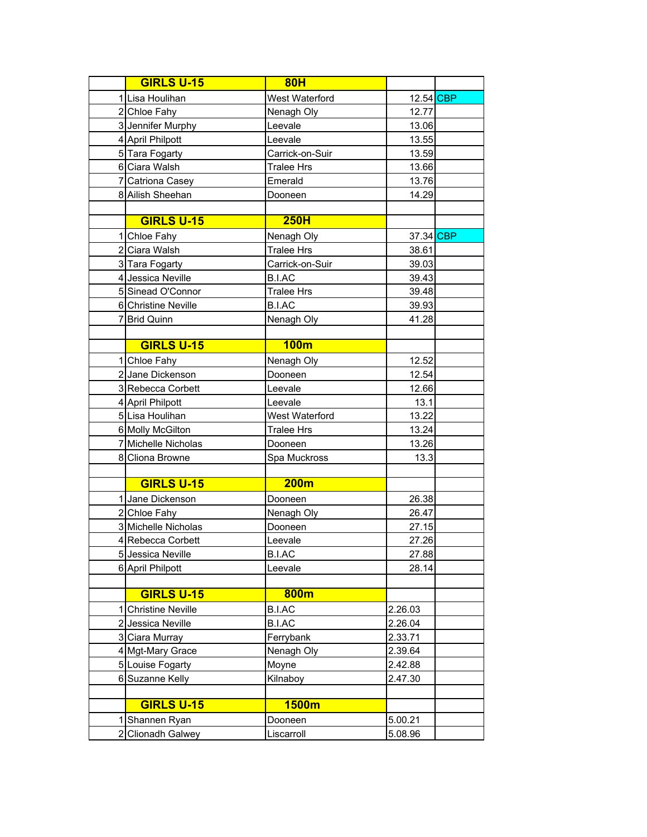|    | <b>GIRLS U-15</b>        | <b>80H</b>        |           |  |
|----|--------------------------|-------------------|-----------|--|
|    | 1 Lisa Houlihan          | West Waterford    | 12.54 CBP |  |
|    | 2 Chloe Fahy             | Nenagh Oly        | 12.77     |  |
|    | 3 Jennifer Murphy        | Leevale           | 13.06     |  |
|    | 4 April Philpott         | Leevale           | 13.55     |  |
|    | 5 Tara Fogarty           | Carrick-on-Suir   | 13.59     |  |
|    | 6 Ciara Walsh            | <b>Tralee Hrs</b> | 13.66     |  |
|    | 7 Catriona Casey         | Emerald           | 13.76     |  |
|    | 8 Ailish Sheehan         | Dooneen           | 14.29     |  |
|    |                          |                   |           |  |
|    | <b>GIRLS U-15</b>        | 250H              |           |  |
|    | 1 Chloe Fahy             | Nenagh Oly        | 37.34 CBP |  |
|    | 2 Ciara Walsh            | <b>Tralee Hrs</b> | 38.61     |  |
|    | 3 Tara Fogarty           | Carrick-on-Suir   | 39.03     |  |
|    | 4 Jessica Neville        | <b>B.I.AC</b>     | 39.43     |  |
|    | 5 Sinead O'Connor        | <b>Tralee Hrs</b> | 39.48     |  |
|    | 6 Christine Neville      | <b>B.I.AC</b>     | 39.93     |  |
|    | 7 Brid Quinn             | Nenagh Oly        | 41.28     |  |
|    |                          |                   |           |  |
|    | <b>GIRLS U-15</b>        | <b>100m</b>       |           |  |
|    | 1 Chloe Fahy             | Nenagh Oly        | 12.52     |  |
|    | 2 Jane Dickenson         | Dooneen           | 12.54     |  |
|    | 3 Rebecca Corbett        | Leevale           | 12.66     |  |
|    | 4 April Philpott         | Leevale           | 13.1      |  |
|    | 5 Lisa Houlihan          | West Waterford    | 13.22     |  |
|    | 6 Molly McGilton         | <b>Tralee Hrs</b> | 13.24     |  |
|    | 7 Michelle Nicholas      | Dooneen           | 13.26     |  |
|    | 8 Cliona Browne          | Spa Muckross      | 13.3      |  |
|    |                          |                   |           |  |
|    | <b>GIRLS U-15</b>        | 200m              |           |  |
|    | 1 Jane Dickenson         | Dooneen           | 26.38     |  |
|    | 2 Chloe Fahy             | Nenagh Oly        | 26.47     |  |
|    | 3 Michelle Nicholas      | Dooneen           | 27.15     |  |
|    | 4 Rebecca Corbett        | Leevale           | 27.26     |  |
|    | 5 Jessica Neville        | <b>B.I.AC</b>     | 27.88     |  |
|    | 6 April Philpott         | Leevale           | 28.14     |  |
|    |                          |                   |           |  |
|    | <b>GIRLS U-15</b>        | 800m              |           |  |
| 11 | <b>Christine Neville</b> | <b>B.I.AC</b>     | 2.26.03   |  |
|    | 2 Jessica Neville        | <b>B.I.AC</b>     | 2.26.04   |  |
|    | 3 Ciara Murray           | Ferrybank         | 2.33.71   |  |
|    | 4 Mgt-Mary Grace         | Nenagh Oly        | 2.39.64   |  |
|    | 5 Louise Fogarty         | Moyne             | 2.42.88   |  |
|    | 6 Suzanne Kelly          | Kilnaboy          | 2.47.30   |  |
|    |                          |                   |           |  |
|    | <b>GIRLS U-15</b>        | 1500m             |           |  |
|    | Shannen Ryan             | Dooneen           | 5.00.21   |  |
|    | 2 Clionadh Galwey        | Liscarroll        | 5.08.96   |  |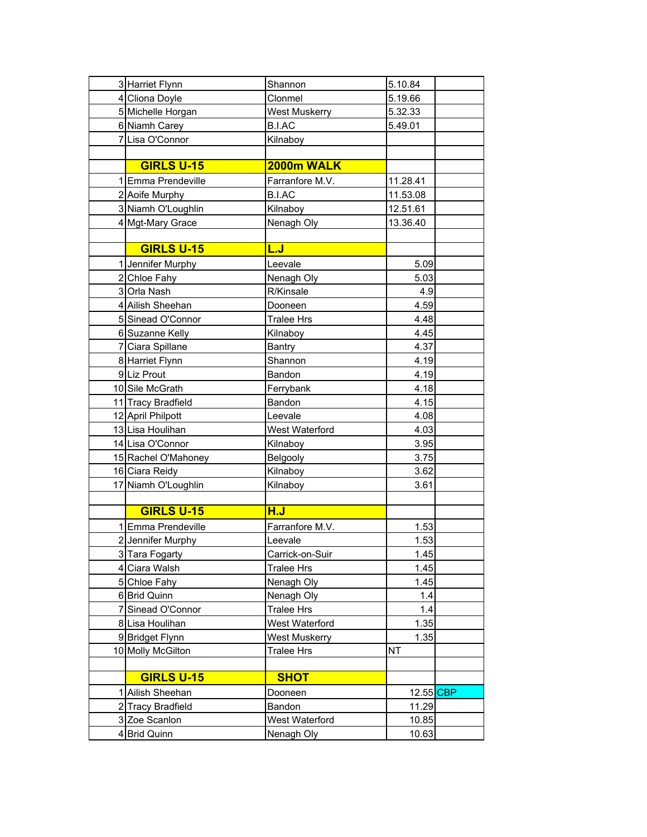| 3 Harriet Flynn     | Shannon           | 5.10.84   |  |
|---------------------|-------------------|-----------|--|
| 4 Cliona Doyle      | Clonmel           | 5.19.66   |  |
| 5 Michelle Horgan   | West Muskerry     | 5.32.33   |  |
| 6 Niamh Carey       | <b>B.I.AC</b>     | 5.49.01   |  |
| 7 Lisa O'Connor     | Kilnaboy          |           |  |
|                     |                   |           |  |
| <b>GIRLS U-15</b>   | 2000m WALK        |           |  |
| 1 Emma Prendeville  | Farranfore M.V.   | 11.28.41  |  |
| 2 Aoife Murphy      | B.I.AC            | 11.53.08  |  |
| 3 Niamh O'Loughlin  | Kilnaboy          | 12.51.61  |  |
| 4 Mgt-Mary Grace    | Nenagh Oly        | 13.36.40  |  |
|                     |                   |           |  |
| <b>GIRLS U-15</b>   | <u>L.J</u>        |           |  |
| 1 Jennifer Murphy   | Leevale           | 5.09      |  |
| 2 Chloe Fahy        | Nenagh Oly        | 5.03      |  |
| 3 Orla Nash         | R/Kinsale         | 4.9       |  |
| 4 Ailish Sheehan    | Dooneen           | 4.59      |  |
| 5 Sinead O'Connor   | <b>Tralee Hrs</b> | 4.48      |  |
| 6 Suzanne Kelly     | Kilnaboy          | 4.45      |  |
| 7 Ciara Spillane    | Bantry            | 4.37      |  |
| 8 Harriet Flynn     | Shannon           | 4.19      |  |
| 9 Liz Prout         | Bandon            | 4.19      |  |
| 10 Sile McGrath     | Ferrybank         | 4.18      |  |
| 11 Tracy Bradfield  | Bandon            | 4.15      |  |
| 12 April Philpott   | Leevale           | 4.08      |  |
| 13 Lisa Houlihan    | West Waterford    | 4.03      |  |
| 14 Lisa O'Connor    | Kilnaboy          | 3.95      |  |
| 15 Rachel O'Mahoney | Belgooly          | 3.75      |  |
| 16 Ciara Reidy      | Kilnaboy          | 3.62      |  |
| 17 Niamh O'Loughlin | Kilnaboy          | 3.61      |  |
|                     |                   |           |  |
| <b>GIRLS U-15</b>   | H.J               |           |  |
| 1 Emma Prendeville  | Farranfore M.V.   | 1.53      |  |
| 2 Jennifer Murphy   | Leevale           | 1.53      |  |
| 3 Tara Fogarty      | Carrick-on-Suir   | 1.45      |  |
| 4 Ciara Walsh       | <b>Tralee Hrs</b> | 1.45      |  |
| 5 Chloe Fahy        | Nenagh Oly        | 1.45      |  |
| 6 Brid Quinn        | Nenagh Oly        | 1.4       |  |
| 7 Sinead O'Connor   | <b>Tralee Hrs</b> | 1.4       |  |
| 8 Lisa Houlihan     | West Waterford    | 1.35      |  |
| 9 Bridget Flynn     | West Muskerry     | 1.35      |  |
| 10 Molly McGilton   | <b>Tralee Hrs</b> | ΝT        |  |
|                     |                   |           |  |
| <b>GIRLS U-15</b>   | <b>SHOT</b>       |           |  |
| 1 Ailish Sheehan    | Dooneen           | 12.55 CBP |  |
| 2 Tracy Bradfield   | Bandon            | 11.29     |  |
| 3 Zoe Scanlon       | West Waterford    | 10.85     |  |
| 4 Brid Quinn        | Nenagh Oly        | 10.63     |  |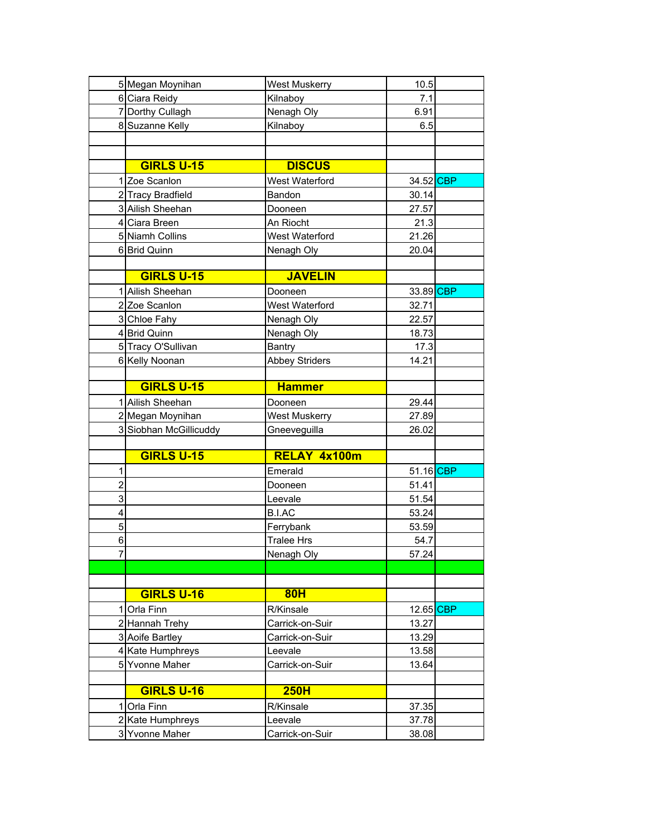|                | 5 Megan Moynihan                   | <b>West Muskerry</b> | 10.5      |  |
|----------------|------------------------------------|----------------------|-----------|--|
|                | 6 Ciara Reidy                      | Kilnaboy             | 7.1       |  |
|                | 7 Dorthy Cullagh                   | Nenagh Oly           | 6.91      |  |
|                | 8 Suzanne Kelly                    | Kilnaboy             | 6.5       |  |
|                |                                    |                      |           |  |
|                |                                    |                      |           |  |
|                | <b>GIRLS U-15</b>                  | <b>DISCUS</b>        |           |  |
|                | 1 Zoe Scanlon                      | West Waterford       | 34.52 CBP |  |
|                | 2 Tracy Bradfield                  | Bandon               | 30.14     |  |
|                | 3 Ailish Sheehan                   | Dooneen              | 27.57     |  |
|                | 4 Ciara Breen                      | An Riocht            | 21.3      |  |
|                | 5 Niamh Collins                    | West Waterford       | 21.26     |  |
|                | 6 Brid Quinn                       | Nenagh Oly           | 20.04     |  |
|                |                                    |                      |           |  |
|                | <b>GIRLS U-15</b>                  | <b>JAVELIN</b>       |           |  |
|                | 1 Ailish Sheehan                   | Dooneen              | 33.89 CBP |  |
|                | 2 Zoe Scanlon                      | West Waterford       | 32.71     |  |
|                | 3 Chloe Fahy                       | Nenagh Oly           | 22.57     |  |
|                | 4 Brid Quinn                       | Nenagh Oly           | 18.73     |  |
|                | 5 Tracy O'Sullivan                 | Bantry               | 17.3      |  |
|                | 6 Kelly Noonan                     | Abbey Striders       | 14.21     |  |
|                |                                    |                      |           |  |
|                | <b>GIRLS U-15</b>                  | <b>Hammer</b>        |           |  |
|                | 1 Ailish Sheehan                   | Dooneen              | 29.44     |  |
|                | 2 Megan Moynihan                   | West Muskerry        | 27.89     |  |
|                |                                    |                      |           |  |
|                | 3 Siobhan McGillicuddy             | Gneeveguilla         | 26.02     |  |
|                |                                    |                      |           |  |
|                | <b>GIRLS U-15</b>                  | RELAY 4x100m         |           |  |
| 1              |                                    | Emerald              | 51.16 CBP |  |
| $\overline{c}$ |                                    | Dooneen              | 51.41     |  |
| $\overline{3}$ |                                    | Leevale              | 51.54     |  |
| 4              |                                    | B.I.AC               | 53.24     |  |
| 5              |                                    | Ferrybank            | 53.59     |  |
| 6              |                                    | <b>Tralee Hrs</b>    | 54.7      |  |
| ſ              |                                    | Nenagh Oly           | 57.24     |  |
|                |                                    |                      |           |  |
|                |                                    |                      |           |  |
|                | <b>GIRLS U-16</b>                  | 80H                  |           |  |
| 1              | Orla Finn                          | R/Kinsale            | 12.65 CBP |  |
|                | 2 Hannah Trehy                     | Carrick-on-Suir      | 13.27     |  |
|                | 3 Aoife Bartley                    | Carrick-on-Suir      | 13.29     |  |
|                | 4 Kate Humphreys                   | Leevale              | 13.58     |  |
|                | 5 Yvonne Maher                     | Carrick-on-Suir      | 13.64     |  |
|                |                                    |                      |           |  |
|                | <b>GIRLS U-16</b>                  | <b>250H</b>          |           |  |
| 1              | Orla Finn                          | R/Kinsale            | 37.35     |  |
|                | 2 Kate Humphreys<br>3 Yvonne Maher | Leevale              | 37.78     |  |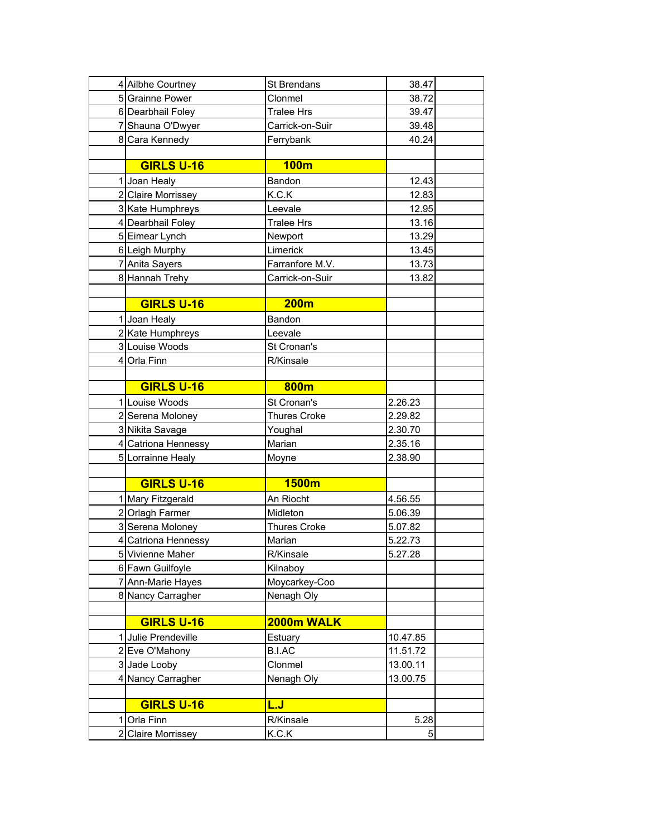|              | 4 Ailbhe Courtney   | St Brendans         | 38.47    |
|--------------|---------------------|---------------------|----------|
|              | 5 Grainne Power     | Clonmel             | 38.72    |
|              | 6 Dearbhail Foley   | <b>Tralee Hrs</b>   | 39.47    |
|              | 7 Shauna O'Dwyer    | Carrick-on-Suir     | 39.48    |
|              | 8 Cara Kennedy      | Ferrybank           | 40.24    |
|              |                     |                     |          |
|              | <b>GIRLS U-16</b>   | <b>100m</b>         |          |
|              | 1 Joan Healy        | Bandon              | 12.43    |
|              | 2 Claire Morrissey  | K.C.K               | 12.83    |
|              | 3 Kate Humphreys    | Leevale             | 12.95    |
|              | 4 Dearbhail Foley   | <b>Tralee Hrs</b>   | 13.16    |
|              | 5 Eimear Lynch      | Newport             | 13.29    |
|              | 6 Leigh Murphy      | Limerick            | 13.45    |
|              | 7 Anita Sayers      | Farranfore M.V.     | 13.73    |
|              | 8 Hannah Trehy      | Carrick-on-Suir     | 13.82    |
|              |                     |                     |          |
|              | <b>GIRLS U-16</b>   | <b>200m</b>         |          |
|              | 1 Joan Healy        | Bandon              |          |
|              | 2 Kate Humphreys    | Leevale             |          |
|              | 3 Louise Woods      | St Cronan's         |          |
|              | 4 Orla Finn         | R/Kinsale           |          |
|              |                     |                     |          |
|              | <b>GIRLS U-16</b>   | 800m                |          |
|              | 1 Louise Woods      | St Cronan's         | 2.26.23  |
|              | 2 Serena Moloney    | <b>Thures Croke</b> | 2.29.82  |
|              | 3 Nikita Savage     | Youghal             | 2.30.70  |
|              | 4 Catriona Hennessy | Marian              | 2.35.16  |
|              | 5 Lorrainne Healy   | Moyne               | 2.38.90  |
|              |                     |                     |          |
|              | <b>GIRLS U-16</b>   | 1500m               |          |
|              | 1 Mary Fitzgerald   | An Riocht           | 4.56.55  |
|              | 2 Orlagh Farmer     | Midleton            | 5.06.39  |
|              | 3 Serena Moloney    | <b>Thures Croke</b> | 5.07.82  |
|              | 4 Catriona Hennessy | Marian              | 5.22.73  |
|              | 5 Vivienne Maher    | R/Kinsale           | 5.27.28  |
|              | 6 Fawn Guilfoyle    | Kilnaboy            |          |
|              | 7 Ann-Marie Hayes   | Moycarkey-Coo       |          |
|              | 8 Nancy Carragher   | Nenagh Oly          |          |
|              | <b>GIRLS U-16</b>   |                     |          |
|              |                     | 2000m WALK          |          |
|              | 1 Julie Prendeville | Estuary             | 10.47.85 |
|              | 2 Eve O'Mahony      | <b>B.I.AC</b>       | 11.51.72 |
|              | 3 Jade Looby        | Clonmel             | 13.00.11 |
|              | 4 Nancy Carragher   | Nenagh Oly          | 13.00.75 |
|              | <b>GIRLS U-16</b>   | <u>L.J</u>          |          |
| $\mathbf{1}$ |                     |                     | 5.28     |
|              | Orla Finn           | R/Kinsale           | 5        |
|              | 2 Claire Morrissey  | K.C.K               |          |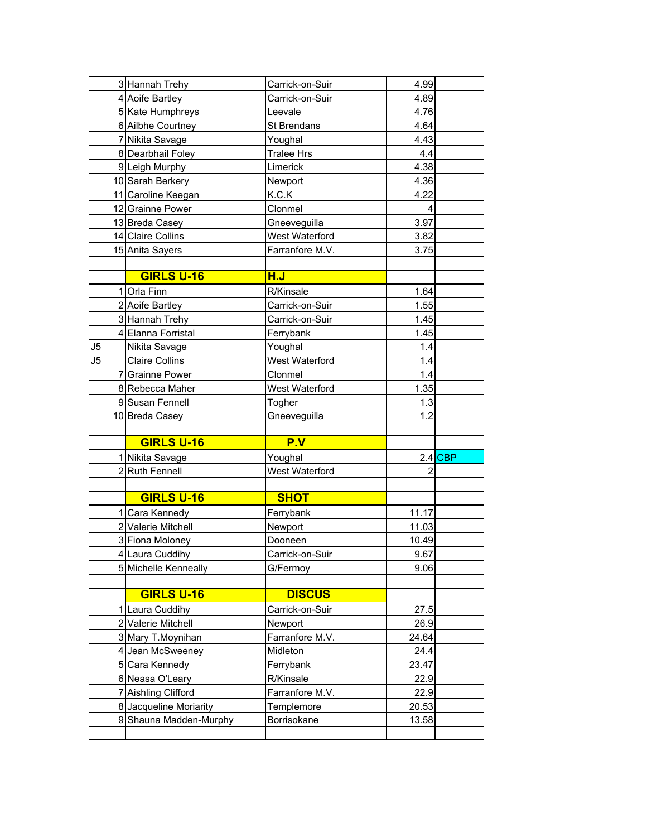|    | 3 Hannah Trehy                        | Carrick-on-Suir             | 4.99         |           |
|----|---------------------------------------|-----------------------------|--------------|-----------|
|    | 4 Aoife Bartley                       | Carrick-on-Suir             | 4.89         |           |
|    | 5 Kate Humphreys                      | Leevale                     | 4.76         |           |
|    | 6 Ailbhe Courtney                     | St Brendans                 | 4.64         |           |
|    | 7 Nikita Savage                       | Youghal                     | 4.43         |           |
|    | 8 Dearbhail Foley                     | <b>Tralee Hrs</b>           | 4.4          |           |
|    | 9 Leigh Murphy                        | Limerick                    | 4.38         |           |
|    | 10 Sarah Berkery                      | Newport                     | 4.36         |           |
|    | 11 Caroline Keegan                    | K.C.K                       | 4.22         |           |
|    | 12 Grainne Power                      | Clonmel                     | 4            |           |
|    | 13 Breda Casey                        | Gneeveguilla                | 3.97         |           |
|    | 14 Claire Collins                     | West Waterford              | 3.82         |           |
|    | 15 Anita Sayers                       | Farranfore M.V.             | 3.75         |           |
|    |                                       |                             |              |           |
|    | <b>GIRLS U-16</b>                     | H.J                         |              |           |
| 11 | Orla Finn                             | R/Kinsale                   | 1.64         |           |
|    | 2 Aoife Bartley                       | Carrick-on-Suir             | 1.55         |           |
|    | 3 Hannah Trehy                        | Carrick-on-Suir             | 1.45         |           |
|    | 4 Elanna Forristal                    | Ferrybank                   | 1.45         |           |
| J5 | Nikita Savage                         | Youghal                     | 1.4          |           |
| J5 | <b>Claire Collins</b>                 | West Waterford              | 1.4          |           |
|    | 7 Grainne Power                       | Clonmel                     | 1.4          |           |
|    | 8 Rebecca Maher                       | West Waterford              | 1.35         |           |
|    | 9 Susan Fennell                       | Togher                      | 1.3          |           |
|    |                                       |                             |              |           |
|    |                                       |                             |              |           |
|    | 10 Breda Casey                        | Gneeveguilla                | 1.2          |           |
|    | <b>GIRLS U-16</b>                     | P.V                         |              |           |
|    |                                       |                             |              | $2.4$ CBP |
|    | 1 Nikita Savage                       | Youghal                     | 2            |           |
|    | 2Ruth Fennell                         | West Waterford              |              |           |
|    | <b>GIRLS U-16</b>                     | <b>SHOT</b>                 |              |           |
|    |                                       |                             |              |           |
|    | 1 Cara Kennedy                        | Ferrybank                   | 11.17        |           |
|    | 2 Valerie Mitchell                    | Newport                     | 11.03        |           |
|    | 3 Fiona Moloney                       | Dooneen                     | 10.49        |           |
|    | 4 Laura Cuddihy                       | Carrick-on-Suir             | 9.67<br>9.06 |           |
|    | 5 Michelle Kenneally                  | G/Fermoy                    |              |           |
|    | <b>GIRLS U-16</b>                     | <b>DISCUS</b>               |              |           |
|    | 1 Laura Cuddihy                       | Carrick-on-Suir             | 27.5         |           |
|    | 2 Valerie Mitchell                    | Newport                     | 26.9         |           |
|    |                                       |                             | 24.64        |           |
|    | 3 Mary T.Moynihan<br>4 Jean McSweeney | Farranfore M.V.<br>Midleton | 24.4         |           |
|    |                                       | Ferrybank                   | 23.47        |           |
|    | 5 Cara Kennedy                        | R/Kinsale                   | 22.9         |           |
|    | 6 Neasa O'Leary                       | Farranfore M.V.             |              |           |
|    | 7 Aishling Clifford                   |                             | 22.9         |           |
|    | 8 Jacqueline Moriarity                | Templemore                  | 20.53        |           |
|    | 9 Shauna Madden-Murphy                | Borrisokane                 | 13.58        |           |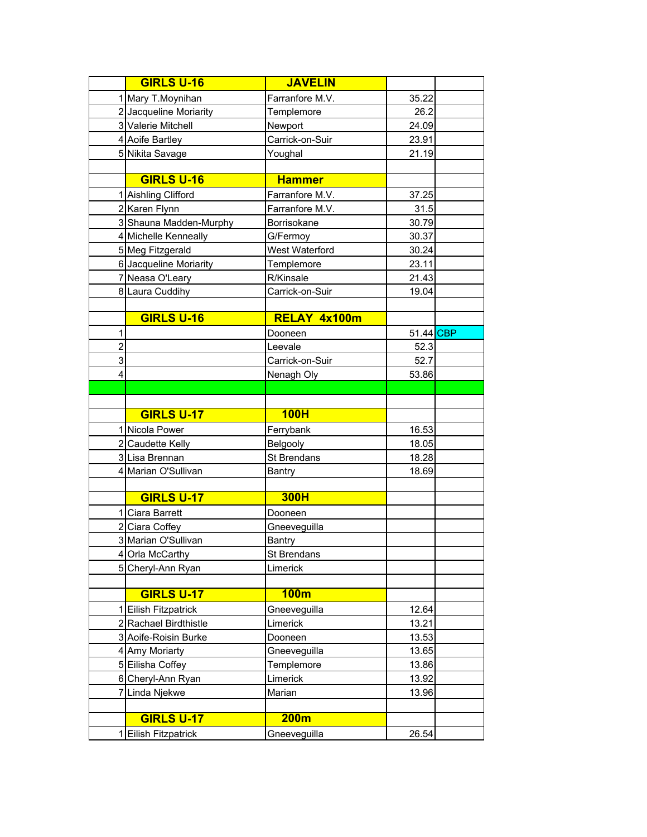|                | <b>GIRLS U-16</b>                         | <b>JAVELIN</b>  |           |  |
|----------------|-------------------------------------------|-----------------|-----------|--|
| 11             | Mary T.Moynihan                           | Farranfore M.V. | 35.22     |  |
|                | 2 Jacqueline Moriarity                    | Templemore      | 26.2      |  |
|                | 3 Valerie Mitchell                        | Newport         | 24.09     |  |
|                | 4 Aoife Bartley                           | Carrick-on-Suir | 23.91     |  |
|                | 5 Nikita Savage                           | Youghal         | 21.19     |  |
|                |                                           |                 |           |  |
|                | <b>GIRLS U-16</b>                         | <b>Hammer</b>   |           |  |
|                | 1 Aishling Clifford                       | Farranfore M.V. | 37.25     |  |
|                | 2 Karen Flynn                             | Farranfore M.V. | 31.5      |  |
|                | 3 Shauna Madden-Murphy                    | Borrisokane     | 30.79     |  |
|                | 4 Michelle Kenneally                      | G/Fermoy        | 30.37     |  |
|                | 5 Meg Fitzgerald                          | West Waterford  | 30.24     |  |
|                | 6 Jacqueline Moriarity                    | Templemore      | 23.11     |  |
|                | 7 Neasa O'Leary                           | R/Kinsale       | 21.43     |  |
|                | 8 Laura Cuddihy                           | Carrick-on-Suir | 19.04     |  |
|                |                                           |                 |           |  |
|                | <b>GIRLS U-16</b>                         | RELAY 4x100m    |           |  |
| 1              |                                           | Dooneen         | 51.44 CBP |  |
| $\overline{2}$ |                                           | Leevale         | 52.3      |  |
| 3              |                                           | Carrick-on-Suir | 52.7      |  |
| 4              |                                           | Nenagh Oly      | 53.86     |  |
|                |                                           |                 |           |  |
|                |                                           |                 |           |  |
|                | <b>GIRLS U-17</b>                         | 100H            |           |  |
|                |                                           |                 |           |  |
|                | 1 Nicola Power                            | Ferrybank       | 16.53     |  |
|                | 2 Caudette Kelly                          | Belgooly        | 18.05     |  |
|                | 3 Lisa Brennan                            | St Brendans     | 18.28     |  |
|                | 4 Marian O'Sullivan                       | <b>Bantry</b>   | 18.69     |  |
|                |                                           |                 |           |  |
|                | <b>GIRLS U-17</b>                         | <b>300H</b>     |           |  |
|                | 1 Ciara Barrett                           | Dooneen         |           |  |
|                | 2 Ciara Coffey                            | Gneeveguilla    |           |  |
|                | 3 Marian O'Sullivan                       | Bantry          |           |  |
|                | 4 Orla McCarthy                           | St Brendans     |           |  |
|                | 5 Cheryl-Ann Ryan                         | Limerick        |           |  |
|                |                                           |                 |           |  |
|                | <b>GIRLS U-17</b>                         | 100m            |           |  |
|                | Eilish Fitzpatrick                        | Gneeveguilla    | 12.64     |  |
|                | 2 Rachael Birdthistle                     | Limerick        | 13.21     |  |
|                | 3 Aoife-Roisin Burke                      | Dooneen         | 13.53     |  |
|                | 4 Amy Moriarty                            | Gneeveguilla    | 13.65     |  |
|                | 5 Eilisha Coffey                          | Templemore      | 13.86     |  |
|                | 6 Cheryl-Ann Ryan                         | Limerick        | 13.92     |  |
|                | 7 Linda Njekwe                            | Marian          | 13.96     |  |
|                |                                           |                 |           |  |
|                | <b>GIRLS U-17</b><br>1 Eilish Fitzpatrick | 200m            |           |  |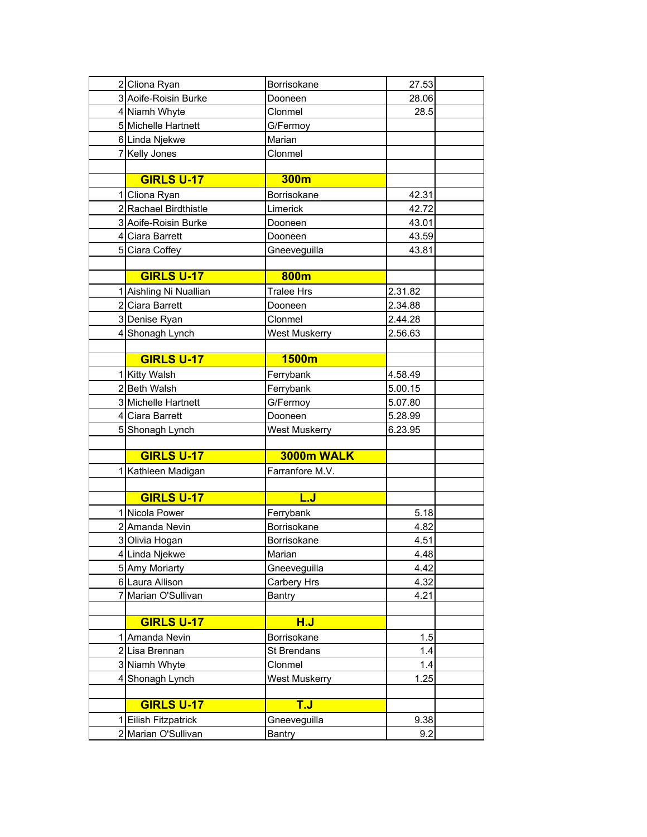| 2 Cliona Ryan                     | Borrisokane                 | 27.53        |
|-----------------------------------|-----------------------------|--------------|
| 3 Aoife-Roisin Burke              | Dooneen                     | 28.06        |
| 4 Niamh Whyte                     | Clonmel                     | 28.5         |
| 5 Michelle Hartnett               | G/Fermoy                    |              |
| 6 Linda Njekwe                    | Marian                      |              |
| 7 Kelly Jones                     | Clonmel                     |              |
|                                   |                             |              |
| <b>GIRLS U-17</b>                 | 300m                        |              |
| 1 Cliona Ryan                     | Borrisokane                 | 42.31        |
| 2 Rachael Birdthistle             | Limerick                    | 42.72        |
| 3 Aoife-Roisin Burke              | Dooneen                     | 43.01        |
| 4 Ciara Barrett                   | Dooneen                     | 43.59        |
| 5 Ciara Coffey                    | Gneeveguilla                | 43.81        |
|                                   |                             |              |
| <b>GIRLS U-17</b>                 | 800m                        |              |
| 1 Aishling Ni Nuallian            | <b>Tralee Hrs</b>           | 2.31.82      |
| 2 Ciara Barrett                   | Dooneen                     | 2.34.88      |
| 3 Denise Ryan                     | Clonmel                     | 2.44.28      |
| 4 Shonagh Lynch                   | <b>West Muskerry</b>        | 2.56.63      |
|                                   |                             |              |
| <b>GIRLS U-17</b>                 | 1500m                       |              |
| 1 Kitty Walsh                     | Ferrybank                   | 4.58.49      |
| 2 Beth Walsh                      | Ferrybank                   | 5.00.15      |
| 3 Michelle Hartnett               | G/Fermoy                    | 5.07.80      |
| 4 Ciara Barrett                   | Dooneen                     | 5.28.99      |
| 5 Shonagh Lynch                   | <b>West Muskerry</b>        | 6.23.95      |
|                                   |                             |              |
| <b>GIRLS U-17</b>                 | 3000m WALK                  |              |
| 1 Kathleen Madigan                | Farranfore M.V.             |              |
|                                   |                             |              |
| <b>GIRLS U-17</b>                 | <u>L.J</u>                  |              |
| 1 Nicola Power                    | Ferrybank                   | 5.18         |
| 2 Amanda Nevin                    | Borrisokane                 | 4.82         |
| 3 Olivia Hogan                    | Borrisokane                 | 4.51         |
| 4 Linda Njekwe                    | Marian                      | 4.48         |
| 5 Amy Moriarty<br>6 Laura Allison | Gneeveguilla<br>Carbery Hrs | 4.42<br>4.32 |
|                                   | Bantry                      | 4.21         |
| 7 Marian O'Sullivan               |                             |              |
| <b>GIRLS U-17</b>                 | <b>H.J</b>                  |              |
| 1 Amanda Nevin                    | Borrisokane                 | 1.5          |
| 2 Lisa Brennan                    | St Brendans                 | 1.4          |
| 3 Niamh Whyte                     | Clonmel                     | 1.4          |
| 4 Shonagh Lynch                   | <b>West Muskerry</b>        | 1.25         |
|                                   |                             |              |
| <b>GIRLS U-17</b>                 | <b>T.J</b>                  |              |
| Eilish Fitzpatrick                | Gneeveguilla                | 9.38         |
| 2 Marian O'Sullivan               | Bantry                      | 9.2          |
|                                   |                             |              |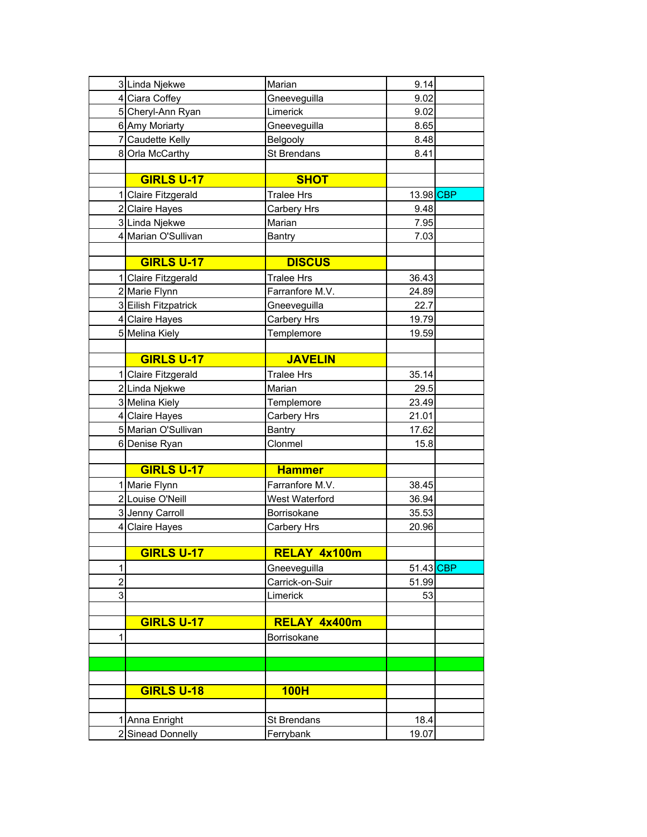|                | 3 Linda Njekwe       | Marian             | 9.14      |  |
|----------------|----------------------|--------------------|-----------|--|
|                | 4 Ciara Coffey       | Gneeveguilla       | 9.02      |  |
|                | 5 Cheryl-Ann Ryan    | Limerick           | 9.02      |  |
|                | 6 Amy Moriarty       | Gneeveguilla       | 8.65      |  |
|                | 7 Caudette Kelly     | Belgooly           | 8.48      |  |
|                | 8 Orla McCarthy      | <b>St Brendans</b> | 8.41      |  |
|                |                      |                    |           |  |
|                | <b>GIRLS U-17</b>    | <b>SHOT</b>        |           |  |
|                | 1 Claire Fitzgerald  | <b>Tralee Hrs</b>  | 13.98 CBP |  |
|                | 2 Claire Hayes       | Carbery Hrs        | 9.48      |  |
|                | 3 Linda Njekwe       | Marian             | 7.95      |  |
|                | 4 Marian O'Sullivan  | Bantry             | 7.03      |  |
|                |                      |                    |           |  |
|                | <b>GIRLS U-17</b>    | <b>DISCUS</b>      |           |  |
|                | 1 Claire Fitzgerald  | <b>Tralee Hrs</b>  | 36.43     |  |
|                | 2 Marie Flynn        | Farranfore M.V.    | 24.89     |  |
|                | 3 Eilish Fitzpatrick | Gneeveguilla       | 22.7      |  |
|                | 4 Claire Hayes       | Carbery Hrs        | 19.79     |  |
|                | 5 Melina Kiely       | Templemore         | 19.59     |  |
|                |                      |                    |           |  |
|                | <b>GIRLS U-17</b>    | <b>JAVELIN</b>     |           |  |
|                | 1 Claire Fitzgerald  | <b>Tralee Hrs</b>  | 35.14     |  |
|                | 2 Linda Njekwe       | Marian             | 29.5      |  |
|                | 3 Melina Kiely       | Templemore         | 23.49     |  |
|                | 4 Claire Hayes       | Carbery Hrs        | 21.01     |  |
|                | 5 Marian O'Sullivan  | <b>Bantry</b>      | 17.62     |  |
|                | 6 Denise Ryan        | Clonmel            | 15.8      |  |
|                |                      |                    |           |  |
|                | <b>GIRLS U-17</b>    | <b>Hammer</b>      |           |  |
|                | 1 Marie Flynn        | Farranfore M.V.    | 38.45     |  |
|                | 2 Louise O'Neill     | West Waterford     | 36.94     |  |
|                | 3 Jenny Carroll      | Borrisokane        | 35.53     |  |
|                | 4 Claire Hayes       | Carbery Hrs        | 20.96     |  |
|                |                      |                    |           |  |
|                | <b>GIRLS U-17</b>    | RELAY 4x100m       |           |  |
| 1              |                      | Gneeveguilla       | 51.43 CBP |  |
| $\overline{c}$ |                      | Carrick-on-Suir    | 51.99     |  |
| 3              |                      | Limerick           | 53        |  |
|                |                      |                    |           |  |
|                | <b>GIRLS U-17</b>    | RELAY 4x400m       |           |  |
| 1              |                      | Borrisokane        |           |  |
|                |                      |                    |           |  |
|                |                      |                    |           |  |
|                |                      |                    |           |  |
|                | <b>GIRLS U-18</b>    | <b>100H</b>        |           |  |
|                |                      |                    |           |  |
|                | 1 Anna Enright       | St Brendans        | 18.4      |  |
|                | 2 Sinead Donnelly    | Ferrybank          | 19.07     |  |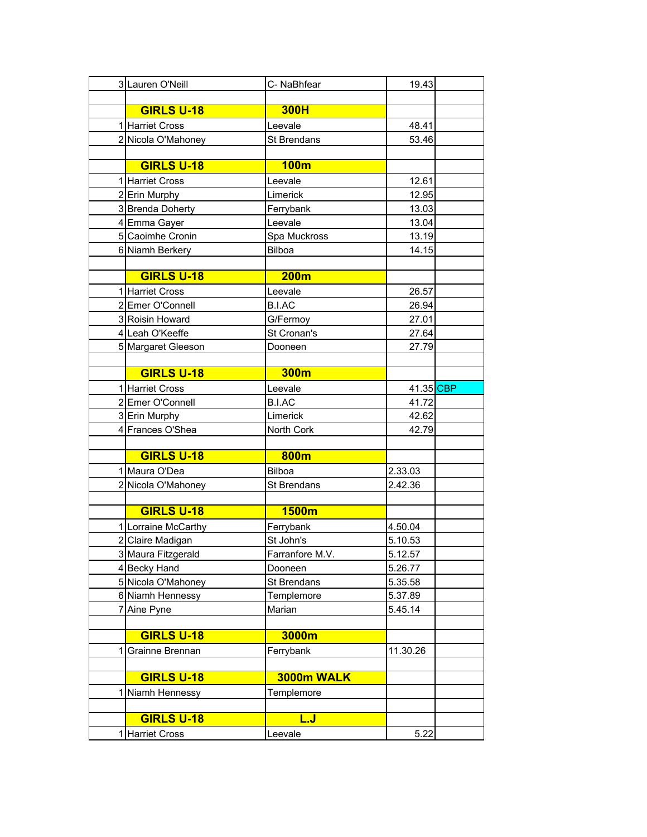|   | 3 Lauren O'Neill    | C-NaBhfear         | 19.43     |
|---|---------------------|--------------------|-----------|
|   |                     |                    |           |
|   | <b>GIRLS U-18</b>   | <b>300H</b>        |           |
|   | 1 Harriet Cross     | Leevale            | 48.41     |
|   | 2 Nicola O'Mahoney  | St Brendans        | 53.46     |
|   |                     |                    |           |
|   | <b>GIRLS U-18</b>   | 100m               |           |
|   | 1 Harriet Cross     | Leevale            | 12.61     |
|   | 2 Erin Murphy       | Limerick           | 12.95     |
|   | 3 Brenda Doherty    | Ferrybank          | 13.03     |
|   | 4 Emma Gayer        | Leevale            | 13.04     |
|   | 5 Caoimhe Cronin    | Spa Muckross       | 13.19     |
|   | 6 Niamh Berkery     | <b>Bilboa</b>      | 14.15     |
|   |                     |                    |           |
|   | <b>GIRLS U-18</b>   | <b>200m</b>        |           |
|   | 1 Harriet Cross     | Leevale            | 26.57     |
|   | 2 Emer O'Connell    | <b>B.I.AC</b>      | 26.94     |
|   | 3 Roisin Howard     | G/Fermoy           | 27.01     |
|   | 4 Leah O'Keeffe     | St Cronan's        | 27.64     |
|   | 5 Margaret Gleeson  | Dooneen            | 27.79     |
|   |                     |                    |           |
|   | <b>GIRLS U-18</b>   | 300m               |           |
|   | 1 Harriet Cross     | Leevale            | 41.35 CBP |
|   | 2 Emer O'Connell    | <b>B.I.AC</b>      | 41.72     |
|   | 3 Erin Murphy       | Limerick           | 42.62     |
|   | 4 Frances O'Shea    | North Cork         | 42.79     |
|   |                     |                    |           |
|   | <b>GIRLS U-18</b>   | 800m               |           |
|   | 1 Maura O'Dea       | <b>Bilboa</b>      | 2.33.03   |
|   | 2 Nicola O'Mahoney  | <b>St Brendans</b> | 2.42.36   |
|   |                     |                    |           |
|   | <b>GIRLS U-18</b>   | <b>1500m</b>       |           |
|   | 1 Lorraine McCarthy | Ferrybank          | 4.50.04   |
|   | 2 Claire Madigan    | St John's          | 5.10.53   |
|   | 3 Maura Fitzgerald  | Farranfore M.V.    | 5.12.57   |
|   | 4 Becky Hand        | Dooneen            | 5.26.77   |
|   | 5 Nicola O'Mahoney  | St Brendans        | 5.35.58   |
|   | 6 Niamh Hennessy    | Templemore         | 5.37.89   |
|   | 7 Aine Pyne         | Marian             | 5.45.14   |
|   |                     |                    |           |
|   | <b>GIRLS U-18</b>   | 3000m              |           |
| 1 | Grainne Brennan     | Ferrybank          | 11.30.26  |
|   |                     |                    |           |
|   | <b>GIRLS U-18</b>   | 3000m WALK         |           |
| 1 | Niamh Hennessy      | Templemore         |           |
|   |                     |                    |           |
|   | <b>GIRLS U-18</b>   | <u>L.J</u>         |           |
|   | 1 Harriet Cross     | Leevale            | 5.22      |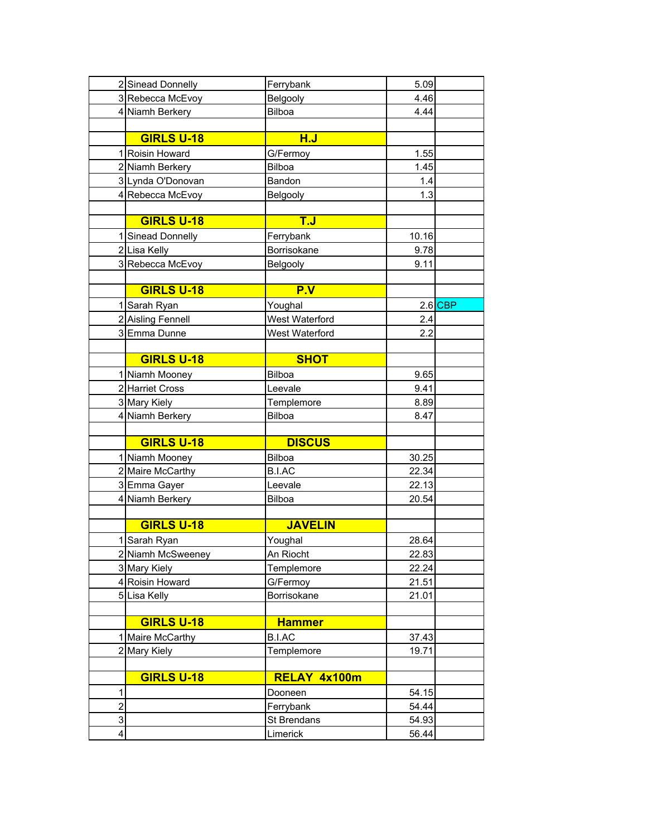|                | 2 Sinead Donnelly | Ferrybank                          | 5.09  |         |
|----------------|-------------------|------------------------------------|-------|---------|
|                | 3 Rebecca McEvoy  | Belgooly                           | 4.46  |         |
|                | 4 Niamh Berkery   | Bilboa                             | 4.44  |         |
|                |                   |                                    |       |         |
|                | <b>GIRLS U-18</b> | H.J                                |       |         |
|                | 1 Roisin Howard   | G/Fermoy                           | 1.55  |         |
|                | 2 Niamh Berkery   | Bilboa                             | 1.45  |         |
|                | 3 Lynda O'Donovan | Bandon                             | 1.4   |         |
|                | 4 Rebecca McEvoy  | Belgooly                           | 1.3   |         |
|                |                   |                                    |       |         |
|                | <b>GIRLS U-18</b> | $\overline{\mathsf{T}.\mathsf{J}}$ |       |         |
|                | 1 Sinead Donnelly | Ferrybank                          | 10.16 |         |
|                | 2 Lisa Kelly      | Borrisokane                        | 9.78  |         |
|                | 3 Rebecca McEvoy  | Belgooly                           | 9.11  |         |
|                |                   |                                    |       |         |
|                | <b>GIRLS U-18</b> | P.V                                |       |         |
|                | 1 Sarah Ryan      | Youghal                            |       | 2.6 CBP |
|                | 2 Aisling Fennell | West Waterford                     | 2.4   |         |
|                | 3 Emma Dunne      | West Waterford                     | 2.2   |         |
|                |                   |                                    |       |         |
|                | <b>GIRLS U-18</b> | <b>SHOT</b>                        |       |         |
|                | 1 Niamh Mooney    | Bilboa                             | 9.65  |         |
|                | 2 Harriet Cross   | Leevale                            | 9.41  |         |
|                | 3 Mary Kiely      | Templemore                         | 8.89  |         |
|                | 4 Niamh Berkery   | Bilboa                             | 8.47  |         |
|                |                   |                                    |       |         |
|                | <b>GIRLS U-18</b> | <b>DISCUS</b>                      |       |         |
|                | 1 Niamh Mooney    | <b>Bilboa</b>                      | 30.25 |         |
|                | 2 Maire McCarthy  | <b>B.I.AC</b>                      | 22.34 |         |
|                | 3 Emma Gayer      | Leevale                            | 22.13 |         |
|                | 4 Niamh Berkery   | Bilboa                             | 20.54 |         |
|                |                   |                                    |       |         |
|                | <b>GIRLS U-18</b> | <b>JAVELIN</b>                     |       |         |
|                | 1 Sarah Ryan      | Youghal                            | 28.64 |         |
|                | 2 Niamh McSweeney | An Riocht                          | 22.83 |         |
|                | 3 Mary Kiely      | Templemore                         | 22.24 |         |
|                | 4 Roisin Howard   | G/Fermoy                           | 21.51 |         |
|                | 5 Lisa Kelly      | Borrisokane                        | 21.01 |         |
|                |                   |                                    |       |         |
|                | <b>GIRLS U-18</b> | <b>Hammer</b>                      |       |         |
|                | 1 Maire McCarthy  | B.I.AC                             | 37.43 |         |
|                | 2 Mary Kiely      | Templemore                         | 19.71 |         |
|                |                   |                                    |       |         |
|                | <b>GIRLS U-18</b> | RELAY 4x100m                       |       |         |
| 1              |                   | Dooneen                            | 54.15 |         |
| $\overline{c}$ |                   | Ferrybank                          | 54.44 |         |
| 3              |                   | St Brendans                        | 54.93 |         |
| 4              |                   | Limerick                           | 56.44 |         |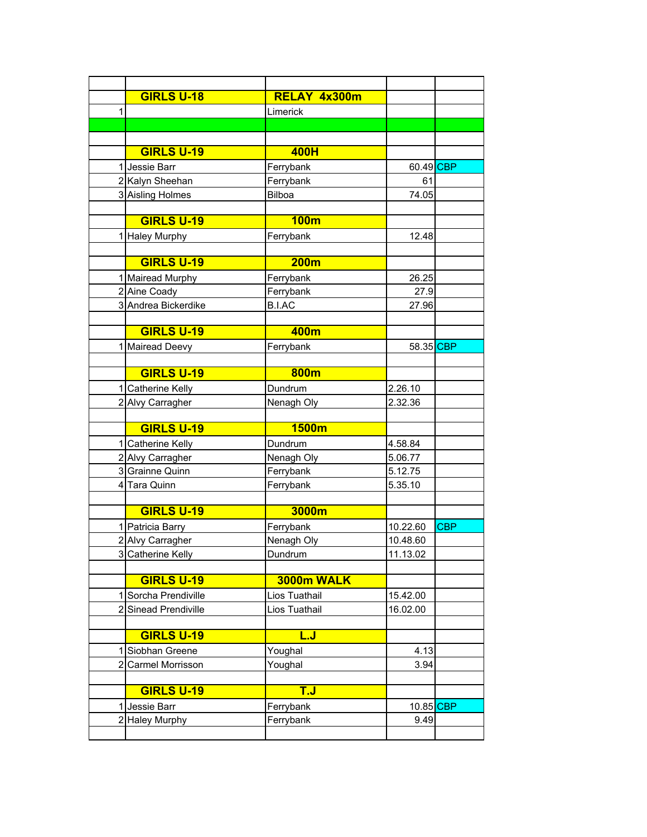|   | <b>GIRLS U-18</b>    | RELAY 4x300m  |           |            |
|---|----------------------|---------------|-----------|------------|
| 1 |                      | Limerick      |           |            |
|   |                      |               |           |            |
|   |                      |               |           |            |
|   | <b>GIRLS U-19</b>    | 400H          |           |            |
|   | 1 Jessie Barr        | Ferrybank     | 60.49 CBP |            |
|   | 2 Kalyn Sheehan      | Ferrybank     | 61        |            |
|   | 3 Aisling Holmes     | Bilboa        | 74.05     |            |
|   |                      |               |           |            |
|   | <b>GIRLS U-19</b>    | <b>100m</b>   |           |            |
|   | 1 Haley Murphy       | Ferrybank     | 12.48     |            |
|   |                      |               |           |            |
|   | <b>GIRLS U-19</b>    | <b>200m</b>   |           |            |
|   | 1 Mairead Murphy     | Ferrybank     | 26.25     |            |
|   | 2 Aine Coady         | Ferrybank     | 27.9      |            |
|   | 3 Andrea Bickerdike  | <b>B.I.AC</b> | 27.96     |            |
|   |                      |               |           |            |
|   | <b>GIRLS U-19</b>    | 400m          |           |            |
|   | 1 Mairead Deevy      | Ferrybank     | 58.35 CBP |            |
|   |                      |               |           |            |
|   | <b>GIRLS U-19</b>    | 800m          |           |            |
|   | 1 Catherine Kelly    | Dundrum       | 2.26.10   |            |
|   | 2 Alvy Carragher     | Nenagh Oly    | 2.32.36   |            |
|   |                      |               |           |            |
|   | <b>GIRLS U-19</b>    | 1500m         |           |            |
|   | 1 Catherine Kelly    | Dundrum       | 4.58.84   |            |
|   | 2 Alvy Carragher     | Nenagh Oly    | 5.06.77   |            |
|   | 3 Grainne Quinn      | Ferrybank     | 5.12.75   |            |
|   | 4 Tara Quinn         | Ferrybank     | 5.35.10   |            |
|   | <b>GIRLS U-19</b>    | 3000m         |           |            |
|   |                      |               |           |            |
|   | 1 Patricia Barry     | Ferrybank     | 10.22.60  | <b>CBP</b> |
|   | 2 Alvy Carragher     | Nenagh Oly    | 10.48.60  |            |
|   | 3 Catherine Kelly    | Dundrum       | 11.13.02  |            |
|   | <b>GIRLS U-19</b>    | 3000m WALK    |           |            |
|   | 1 Sorcha Prendiville | Lios Tuathail | 15.42.00  |            |
|   | 2 Sinead Prendiville | Lios Tuathail | 16.02.00  |            |
|   |                      |               |           |            |
|   | <b>GIRLS U-19</b>    | <u>L.J</u>    |           |            |
|   | 1 Siobhan Greene     | Youghal       | 4.13      |            |
|   | 2 Carmel Morrisson   | Youghal       | 3.94      |            |
|   |                      |               |           |            |
|   | <b>GIRLS U-19</b>    | <b>T.J</b>    |           |            |
|   | Jessie Barr          | Ferrybank     | 10.85 CBP |            |
|   | 2 Haley Murphy       | Ferrybank     | 9.49      |            |
|   |                      |               |           |            |
|   |                      |               |           |            |